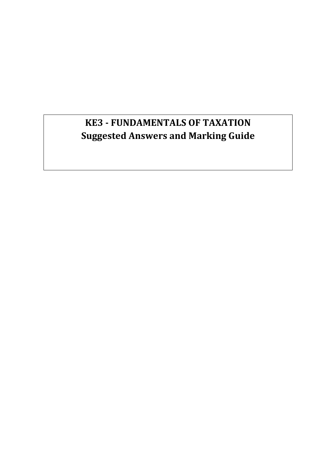# **KE3 - FUNDAMENTALS OF TAXATION Suggested Answers and Marking Guide**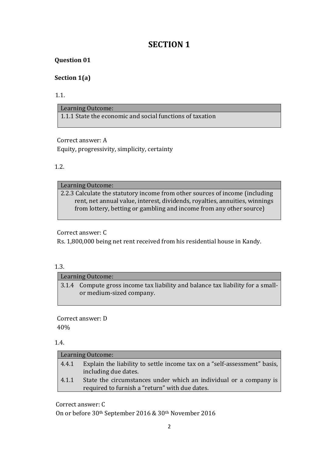# **SECTION 1**

# **Question 01**

# **Section 1(a)**

1.1.

Learning Outcome: 1.1.1 State the economic and social functions of taxation

Correct answer: A Equity, progressivity, simplicity, certainty

# 1.2.

# Learning Outcome:

2.2.3 Calculate the statutory income from other sources of income (including rent, net annual value, interest, dividends, royalties, annuities, winnings from lottery, betting or gambling and income from any other source)

# Correct answer: C

Rs. 1,800,000 being net rent received from his residential house in Kandy.

# 1.3.

Learning Outcome: 3.1.4 Compute gross income tax liability and balance tax liability for a smallor medium-sized company.

Correct answer: D 40%

# 1.4.

|       | Learning Outcome:                                                                                                   |
|-------|---------------------------------------------------------------------------------------------------------------------|
| 4.4.1 | Explain the liability to settle income tax on a "self-assessment" basis,<br>including due dates.                    |
| 4.1.1 | State the circumstances under which an individual or a company is<br>required to furnish a "return" with due dates. |

Correct answer: C

On or before 30th September 2016 & 30th November 2016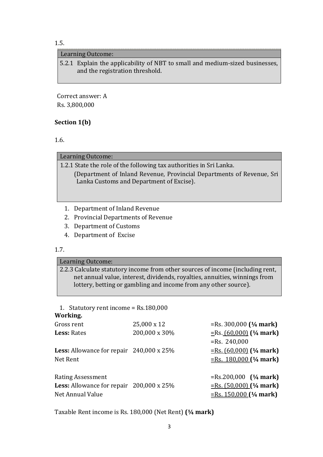#### 1.5.

#### Learning Outcome:

5.2.1 Explain the applicability of NBT to small and medium-sized businesses, and the registration threshold.

Correct answer: A Rs. 3,800,000

#### **Section 1(b)**

1.6.

#### Learning Outcome:

1.2.1 State the role of the following tax authorities in Sri Lanka. (Department of Inland Revenue, Provincial Departments of Revenue, Sri Lanka Customs and Department of Excise).

- 1. Department of Inland Revenue
- 2. Provincial Departments of Revenue
- 3. Department of Customs
- 4. Department of Excise

#### 1.7.

# Learning Outcome:

2.2.3 Calculate statutory income from other sources of income (including rent, net annual value, interest, dividends, royalties, annuities, winnings from lottery, betting or gambling and income from any other source).

# 1. Statutory rent income = Rs.180,000

#### **Working.**

| Gross rent                                                                                              | 25,000 x 12   | = $Rs. 300,000$ ( $\frac{1}{4}$ mark)                                            |
|---------------------------------------------------------------------------------------------------------|---------------|----------------------------------------------------------------------------------|
| Less: Rates                                                                                             | 200,000 x 30% | $ERs. (60,000)$ (¼ mark)<br>$=$ Rs. 240,000                                      |
| <b>Less:</b> Allowance for repair $240,000 \times 25\%$<br>Net Rent                                     |               | $=$ Rs. (60,000) (¼ mark)<br>$=$ Rs. 180,000 (¼ mark)                            |
| <b>Rating Assessment</b><br><b>Less:</b> Allowance for repair $200,000 \times 25\%$<br>Net Annual Value |               | $=$ Rs.200,000 (¼ mark)<br>$=$ Rs. (50,000) (¼ mark)<br>$=$ Rs. 150,000 (¼ mark) |

Taxable Rent income is Rs. 180,000 (Net Rent) **(¼ mark)**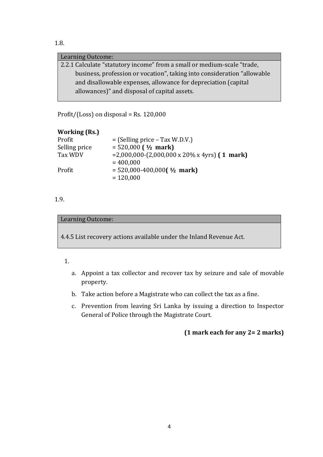#### 1.8.

#### Learning Outcome:

2.2.1 Calculate "statutory income" from a small or medium-scale "trade, business, profession or vocation", taking into consideration "allowable and disallowable expenses, allowance for depreciation (capital allowances)" and disposal of capital assets.

Profit/(Loss) on disposal = Rs. 120,000

## **Working (Rs.)**

| Profit        | $=$ (Selling price – Tax W.D.V.)                           |
|---------------|------------------------------------------------------------|
| Selling price | $= 520,000$ ( $\frac{1}{2}$ mark)                          |
| Tax WDV       | $= 2,000,000-(2,000,000 \times 20\% \times 4yrs)$ (1 mark) |
|               | $= 400,000$                                                |
| Profit        | $= 520,000-400,000$ ( $\frac{1}{2}$ mark)                  |
|               | $= 120,000$                                                |
|               |                                                            |

#### 1.9.

#### Learning Outcome:

4.4.5 List recovery actions available under the Inland Revenue Act.

#### 1.

- a. Appoint a tax collector and recover tax by seizure and sale of movable property.
- b. Take action before a Magistrate who can collect the tax as a fine.
- c. Prevention from leaving Sri Lanka by issuing a direction to Inspector General of Police through the Magistrate Court.

# **(1 mark each for any 2= 2 marks)**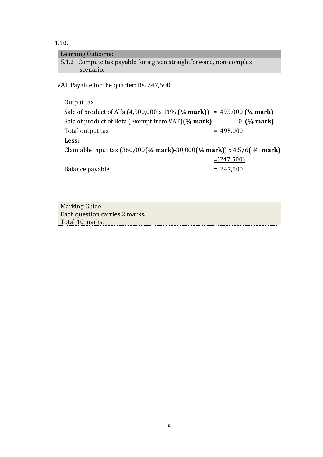1.10.

| Learning Outcome:                                                  |  |
|--------------------------------------------------------------------|--|
| 5.1.2 Compute tax payable for a given straightforward, non-complex |  |
| scenario.                                                          |  |
| VAT Payable for the quarter: Rs. 247,500                           |  |
| Output tax                                                         |  |

Sale of product of Alfa (4,500,000 x 11% **(¼ mark)**) = 495,000 **(¼ mark)** Sale of product of Beta (Exempt from VAT) $($ <sup>1</sup>/<sub>4</sub> mark) = 0  $($ <sup>1</sup>/<sub>4</sub> mark) Total output tax  $= 495,000$ **Less:** Claimable input tax (360,000**(¼ mark)**-30,000**(¼ mark)**) x 4.5/6**( ½ mark)**  $=(247,500)$ Balance payable  $= 247,500$ 

| <b>Marking Guide</b>                  |  |
|---------------------------------------|--|
| <b>Each question carries 2 marks.</b> |  |
| Total 10 marks.                       |  |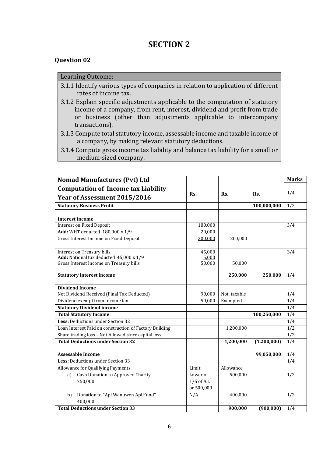# **SECTION 2**

#### **Question 02**

#### Learning Outcome:

- 3.1.1 Identify various types of companies in relation to application of different rates of income tax.
- 3.1.2 Explain specific adjustments applicable to the computation of statutory income of a company, from rent, interest, dividend and profit from trade or business (other than adjustments applicable to intercompany transactions).
- 3.1.3 Compute total statutory income, assessable income and taxable income of a company, by making relevant statutory deductions.
- 3.1.4 Compute gross income tax liability and balance tax liability for a small or medium-sized company.

| <b>Nomad Manufactures (Pvt) Ltd</b>                    |               |             |             | <b>Marks</b>     |
|--------------------------------------------------------|---------------|-------------|-------------|------------------|
| <b>Computation of Income tax Liability</b>             |               |             |             |                  |
| Year of Assessment 2015/2016                           | Rs.           | Rs.         | Rs.         | 1/4              |
| <b>Statutory Business Profit</b>                       |               |             | 100,000,000 | 1/2              |
|                                                        |               |             |             |                  |
| <b>Interest Income</b>                                 |               |             |             |                  |
| <b>Interest on Fixed Deposit</b>                       | 180,000       |             |             | $\overline{3}/4$ |
| Add: WHT deducted 180,000 x 1/9                        | 20,000        |             |             |                  |
| Gross Interest Income on Fixed Deposit                 | 200,000       | 200,000     |             |                  |
| Interest on Treasury bills                             | 45,000        |             |             | 3/4              |
| Add: Notional tax deducted 45,000 x 1/9                | 5,000         |             |             |                  |
| Gross Interest Income on Treasury bills                | 50,000        | 50,000      |             |                  |
| <b>Statutory interest income</b>                       |               | 250,000     | 250,000     | 1/4              |
|                                                        |               |             |             |                  |
| <b>Dividend Income</b>                                 |               |             |             |                  |
| Net Dividend Received (Final Tax Deducted)             | 90,000        | Not taxable |             | 1/4              |
| Dividend exempt from income tax                        | 50,000        | Exempted    |             | 1/4              |
| <b>Statutory Dividend income</b>                       |               |             |             | $\overline{1/4}$ |
| <b>Total Statutory Income</b>                          |               |             | 100,250,000 | 1/4              |
| Less: Deductions under Section 32                      |               |             |             | $\overline{1/4}$ |
| Loan Interest Paid on construction of Factory Building |               | 1,200,000   |             | 1/2              |
| Share trading loss - Not Allowed since capital loss    |               |             |             | 1/2              |
| <b>Total Deductions under Section 32</b>               |               | 1,200,000   | (1,200,000) | $\sqrt{1/4}$     |
| <b>Assessable Income</b>                               |               |             | 99,050,000  | 1/4              |
| Less: Deductions under Section 33                      |               |             |             | 1/4              |
| Allowance for Qualifying Payments                      | Limit         | Allowance   |             |                  |
| Cash Donation to Approved Charity<br>a)                | Lower of      | 500,000     |             | 1/2              |
| 750,000                                                | $1/5$ of A.I. |             |             |                  |
|                                                        | or 500,000    |             |             |                  |
| Donation to "Api Wenuwen Api Fund"<br>b)               | N/A           | 400,000     |             | 1/2              |
| 400,000                                                |               |             |             |                  |
| <b>Total Deductions under Section 33</b>               |               | 900,000     | (900, 000)  | 1/4              |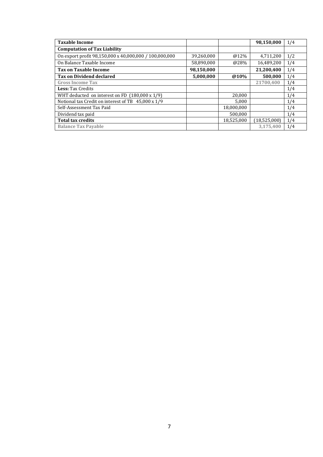| <b>Taxable Income</b>                                  |            |            | 98,150,000   | 1/4 |
|--------------------------------------------------------|------------|------------|--------------|-----|
| <b>Computation of Tax Liability</b>                    |            |            |              |     |
| On export profit 98,150,000 x 40,000,000 / 100,000,000 | 39,260,000 | $@12\%$    | 4,711,200    | 1/2 |
| On Balance Taxable Income                              | 58,890,000 | @28%       | 16,489,200   | 1/4 |
| <b>Tax on Taxable Income</b>                           | 98,150,000 |            | 21,200,400   | 1/4 |
| <b>Tax on Dividend declared</b>                        | 5,000,000  | @10%       | 500,000      | 1/4 |
| <b>Gross Income Tax</b>                                |            |            | 21700,400    | 1/4 |
| <b>Less: Tax Credits</b>                               |            |            |              | 1/4 |
| WHT deducted on interest on FD $(180,000 \times 1/9)$  |            | 20.000     |              | 1/4 |
| Notional tax Credit on interest of TB 45,000 x 1/9     |            | 5.000      |              | 1/4 |
| Self-Assessment Tax Paid                               |            | 18,000,000 |              | 1/4 |
| Dividend tax paid                                      |            | 500.000    |              | 1/4 |
| <b>Total tax credits</b>                               |            | 18,525,000 | (18,525,000) | 1/4 |
| <b>Balance Tax Payable</b>                             |            |            | 3,175,400    | 1/4 |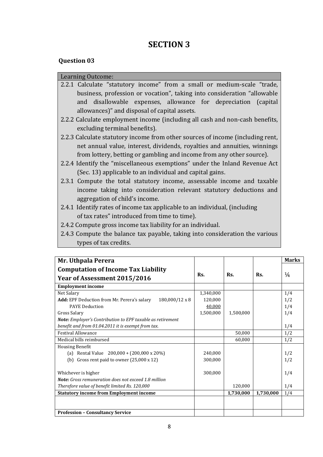# **SECTION 3**

#### **Question 03**

#### Learning Outcome:

- 2.2.1 Calculate "statutory income" from a small or medium-scale "trade, business, profession or vocation", taking into consideration "allowable and disallowable expenses, allowance for depreciation (capital allowances)" and disposal of capital assets.
- 2.2.2 Calculate employment income (including all cash and non-cash benefits, excluding terminal benefits).
- 2.2.3 Calculate statutory income from other sources of income (including rent, net annual value, interest, dividends, royalties and annuities, winnings from lottery, betting or gambling and income from any other source).
- 2.2.4 Identify the "miscellaneous exemptions" under the Inland Revenue Act (Sec. 13) applicable to an individual and capital gains.
- 2.3.1 Compute the total statutory income, assessable income and taxable income taking into consideration relevant statutory deductions and aggregation of child's income.
- 2.4.1 Identify rates of income tax applicable to an individual, (including of tax rates" introduced from time to time).
- 2.4.2 Compute gross income tax liability for an individual.
- 2.4.3 Compute the balance tax payable, taking into consideration the various types of tax credits.

| Mr. Uthpala Perera                                                   |           |           |           | <b>Marks</b>  |
|----------------------------------------------------------------------|-----------|-----------|-----------|---------------|
| <b>Computation of Income Tax Liability</b>                           |           |           |           |               |
| Year of Assessment 2015/2016                                         | Rs.       | Rs.       | Rs.       | $\frac{1}{4}$ |
| <b>Employment income</b>                                             |           |           |           |               |
| Net Salary                                                           | 1,340,000 |           |           | 1/4           |
| $180,000/12 \times 8$<br>Add: EPF Deduction from Mr. Perera's salary | 120,000   |           |           | 1/2           |
| <b>PAYE Deduction</b>                                                | 40,000    |           |           | 1/4           |
| Gross Salary                                                         | 1,500,000 | 1,500,000 |           | 1/4           |
| <b>Note:</b> Employer's Contribution to EPF taxable as retirement    |           |           |           |               |
| benefit and from 01.04.2011 it is exempt from tax.                   |           |           |           | 1/4           |
| <b>Festival Allowance</b>                                            |           | 50,000    |           | 1/2           |
| Medical bills reimbursed                                             |           | 60,000    |           | 1/2           |
| <b>Housing Benefit</b>                                               |           |           |           |               |
| (a) Rental Value $200,000 + (200,000 \times 20\%)$                   | 240.000   |           |           | 1/2           |
| (b) Gross rent paid to owner $(25,000 \times 12)$                    | 300,000   |           |           | 1/2           |
| Whichever is higher                                                  | 300,000   |           |           | 1/4           |
| <b>Note:</b> Gross remuneration does not exceed 1.8 million          |           |           |           |               |
| Therefore value of benefit limited Rs. 120,000                       |           | 120,000   |           | 1/4           |
| <b>Statutory income from Employment income</b>                       |           | 1,730,000 | 1,730,000 | 1/4           |
|                                                                      |           |           |           |               |
| <b>Profession - Consultancy Service</b>                              |           |           |           |               |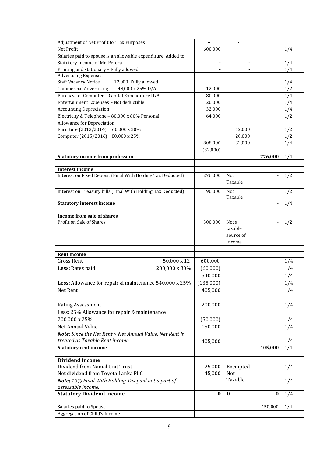| Adjustment of Net Profit for Tax Purposes                     | ÷         | ä,        |                          |     |
|---------------------------------------------------------------|-----------|-----------|--------------------------|-----|
| Net Profit                                                    | 600,000   |           |                          | 1/4 |
| Salaries paid to spouse is an allowable expenditure, Added to |           |           |                          |     |
| Statutory Income of Mr. Perera                                |           |           |                          | 1/4 |
| Printing and stationary - Fully allowed                       |           |           |                          | 1/4 |
| <b>Advertising Expenses</b>                                   |           |           |                          |     |
| <b>Staff Vacancy Notice</b><br>12,000 Fully allowed           |           |           |                          | 1/4 |
| <b>Commercial Advertising</b><br>48,000 x 25% D/A             | 12,000    |           |                          | 1/2 |
| Purchase of Computer - Capital Expenditure D/A                | 80,000    |           |                          | 1/4 |
| Entertainment Expenses - Not deductible                       | 20,000    |           |                          | 1/4 |
| <b>Accounting Depreciation</b>                                | 32,000    |           |                          | 1/4 |
| Electricity & Telephone - 80,000 x 80% Personal               | 64,000    |           |                          | 1/2 |
| Allowance for Depreciation                                    |           |           |                          |     |
| Furniture (2013/2014) 60,000 x 20%                            |           | 12,000    |                          | 1/2 |
| Computer (2015/2016)<br>80,000 x 25%                          |           | 20,000    |                          | 1/2 |
|                                                               | 808,000   | 32,000    |                          | 1/4 |
|                                                               | (32,000)  |           |                          |     |
| <b>Statutory income from profession</b>                       |           |           | 776,000                  | 1/4 |
|                                                               |           |           |                          |     |
| <b>Interest Income</b>                                        |           |           |                          |     |
| Interest on Fixed Deposit (Final With Holding Tax Deducted)   | 276,000   | Not       |                          | 1/2 |
|                                                               |           | Taxable   |                          |     |
| Interest on Treasury bills (Final With Holding Tax Deducted)  | 90,000    | Not       |                          | 1/2 |
|                                                               |           | Taxable   |                          |     |
| <b>Statutory interest income</b>                              |           |           | $\overline{\phantom{a}}$ | 1/4 |
|                                                               |           |           |                          |     |
| Income from sale of shares                                    |           |           |                          |     |
| Profit on Sale of Shares                                      | 300,000   | Not a     | $\overline{a}$           | 1/2 |
|                                                               |           | taxable   |                          |     |
|                                                               |           | source of |                          |     |
|                                                               |           | income    |                          |     |
|                                                               |           |           |                          |     |
| <b>Rent Income</b>                                            |           |           |                          |     |
| 50,000 x 12<br><b>Gross Rent</b>                              | 600,000   |           |                          | 1/4 |
| 200,000 x 30%<br>Less: Rates paid                             | (60,000)  |           |                          | 1/4 |
|                                                               | 540,000   |           |                          | 1/4 |
| Less: Allowance for repair & maintenance 540,000 x 25%        | (135,000) |           |                          | 1/4 |
| Net Rent                                                      | 405,000   |           |                          | 1/4 |
|                                                               |           |           |                          |     |
| <b>Rating Assessment</b>                                      | 200,000   |           |                          | 1/4 |
|                                                               |           |           |                          |     |
| Less: 25% Allowance for repair & maintenance                  |           |           |                          |     |
| 200,000 x 25%                                                 | (50,000)  |           |                          | 1/4 |
| Net Annual Value                                              | 150,000   |           |                          | 1/4 |
| Note: Since the Net Rent > Net Annual Value, Net Rent is      |           |           |                          |     |
| treated as Taxable Rent income                                | 405,000   |           |                          | 1/4 |
| <b>Statutory rent income</b>                                  |           |           | 405,000                  | 1/4 |
|                                                               |           |           |                          |     |
| <b>Dividend Income</b>                                        |           |           |                          |     |
| Dividend from Namal Unit Trust                                | 25,000    | Exempted  |                          | 1/4 |
| Net dividend from Toyota Lanka PLC                            | 45,000    | Not       |                          |     |
| Note; 10% Final With Holding Tax paid not a part of           |           | Taxable   |                          | 1/4 |
| assessable income.                                            |           |           |                          |     |
| <b>Statutory Dividend Income</b>                              | $\bf{0}$  | $\bf{0}$  | $\bf{0}$                 | 1/4 |
|                                                               |           |           |                          |     |
| Salaries paid to Spouse                                       |           |           | 150,000                  | 1/4 |
| Aggregation of Child's Income                                 |           |           |                          |     |